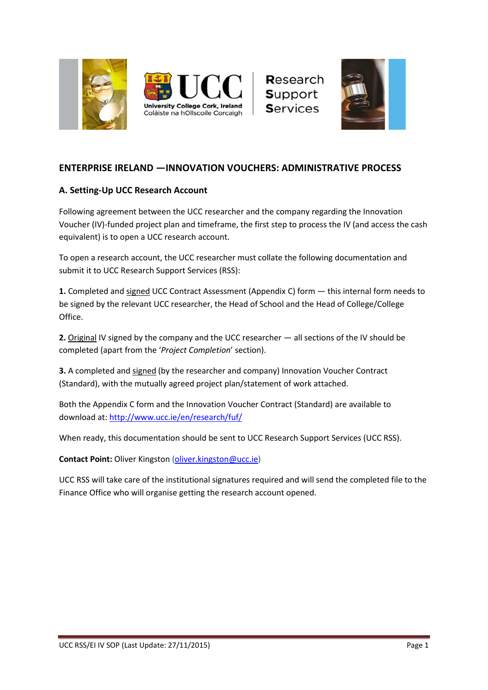



Research Support **Services** 



# **ENTERPRISE IRELAND —INNOVATION VOUCHERS: ADMINISTRATIVE PROCESS**

## **A. Setting-Up UCC Research Account**

Following agreement between the UCC researcher and the company regarding the Innovation Voucher (IV)-funded project plan and timeframe, the first step to process the IV (and access the cash equivalent) is to open a UCC research account.

To open a research account, the UCC researcher must collate the following documentation and submit it to UCC Research Support Services (RSS):

**1.** Completed and signed UCC Contract Assessment (Appendix C) form — this internal form needs to be signed by the relevant UCC researcher, the Head of School and the Head of College/College Office.

**2.** Original IV signed by the company and the UCC researcher — all sections of the IV should be completed (apart from the '*Project Completion*' section).

**3.** A completed and signed (by the researcher and company) Innovation Voucher Contract (Standard), with the mutually agreed project plan/statement of work attached.

Both the Appendix C form and the Innovation Voucher Contract (Standard) are available to download at: <http://www.ucc.ie/en/research/fuf/>

When ready, this documentation should be sent to UCC Research Support Services (UCC RSS).

**Contact Point:** Oliver Kingston [\(oliver.kingston@ucc.ie\)](mailto:oliver.kingston@ucc.ie)

UCC RSS will take care of the institutional signatures required and will send the completed file to the Finance Office who will organise getting the research account opened.